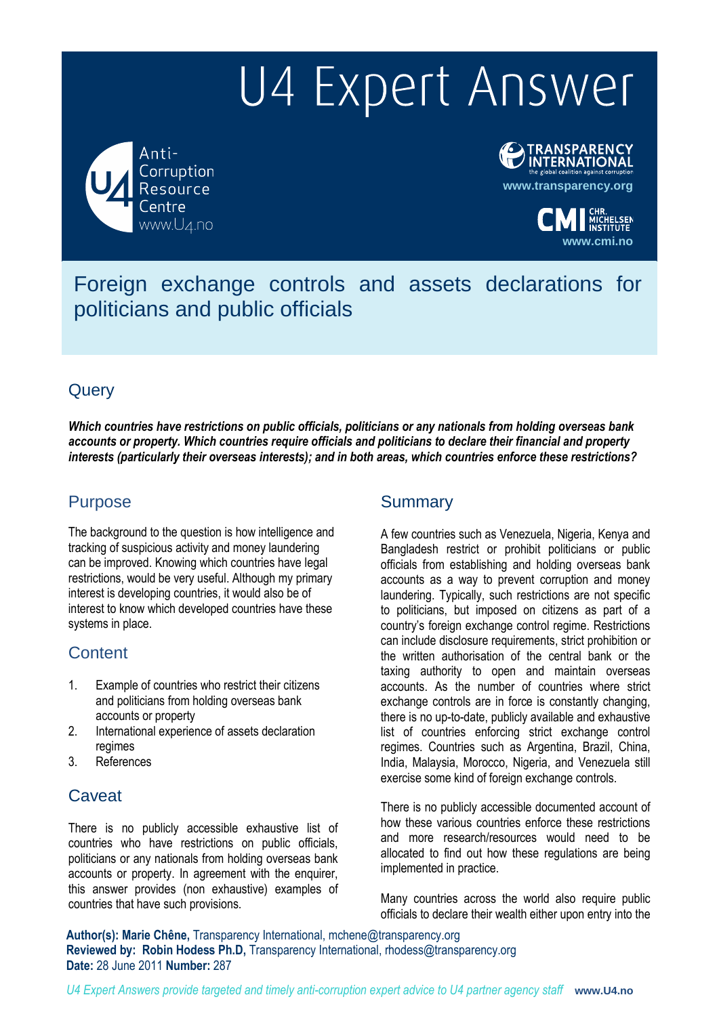# U4 Expert Answer

Anti-Corruption Resource www.U4.no



**www.cmi.no**

Foreign exchange controls and assets declarations for politicians and public officials

# **Query**

*Which countries have restrictions on public officials, politicians or any nationals from holding overseas bank accounts or property. Which countries require officials and politicians to declare their financial and property interests (particularly their overseas interests); and in both areas, which countries enforce these restrictions?*

# Purpose

The background to the question is how intelligence and tracking of suspicious activity and money laundering can be improved. Knowing which countries have legal restrictions, would be very useful. Although my primary interest is developing countries, it would also be of interest to know which developed countries have these systems in place.

## **Content**

- 1. Example of countries who restrict their citizens and politicians from holding overseas bank accounts or property
- 2. International experience of assets declaration regimes
- 3. References

## **Caveat**

There is no publicly accessible exhaustive list of countries who have restrictions on public officials, politicians or any nationals from holding overseas bank accounts or property. In agreement with the enquirer, this answer provides (non exhaustive) examples of countries that have such provisions.

## **Summary**

A few countries such as Venezuela, Nigeria, Kenya and Bangladesh restrict or prohibit politicians or public officials from establishing and holding overseas bank accounts as a way to prevent corruption and money laundering. Typically, such restrictions are not specific to politicians, but imposed on citizens as part of a country's foreign exchange control regime. Restrictions can include disclosure requirements, strict prohibition or the written authorisation of the central bank or the taxing authority to open and maintain overseas accounts. As the number of countries where strict exchange controls are in force is constantly changing, there is no up-to-date, publicly available and exhaustive list of countries enforcing strict exchange control regimes. Countries such as Argentina, Brazil, China, India, Malaysia, Morocco, Nigeria, and Venezuela still exercise some kind of foreign exchange controls.

There is no publicly accessible documented account of how these various countries enforce these restrictions and more research/resources would need to be allocated to find out how these regulations are being implemented in practice.

Many countries across the world also require public officials to declare their wealth either upon entry into the

**Author(s): Marie Chêne,** Transparency International, mchene@transparency.org **Reviewed by: Robin Hodess Ph.D,** Transparency International, rhodess@transparency.org **Date:** 28 June 2011 **Number:** 287

*U4 Expert Answers provide targeted and timely anti-corruption expert advice to U4 partner agency staff* **www.U4.no**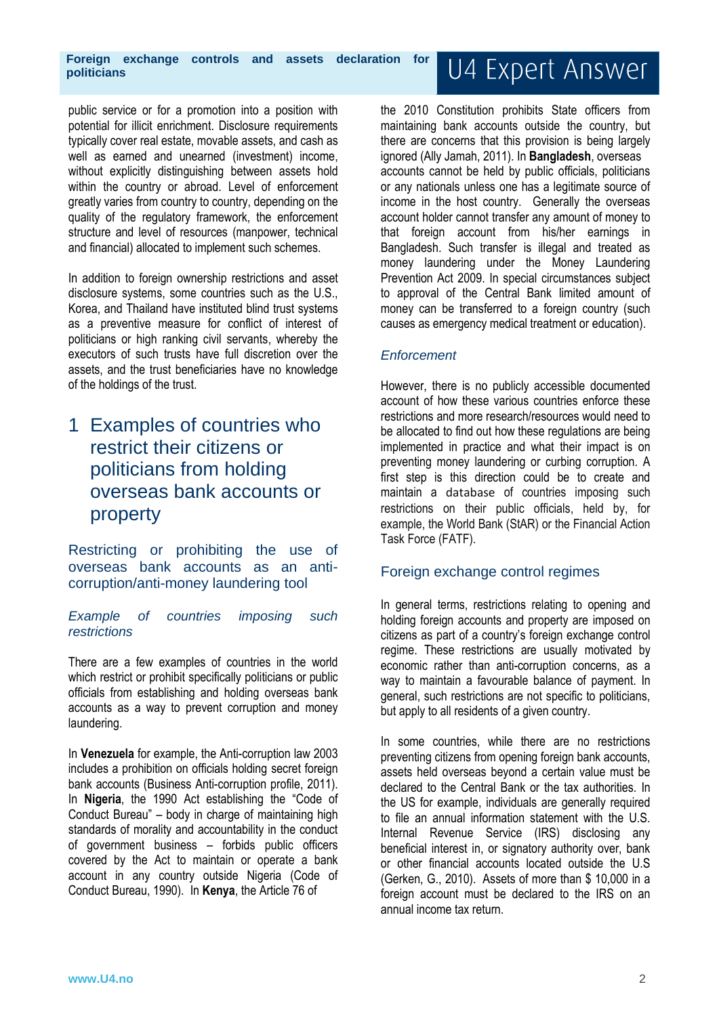**Foreign exchange controls and assets declaration for politicians**

public service or for a promotion into a position with potential for illicit enrichment. Disclosure requirements typically cover real estate, movable assets, and cash as well as earned and unearned (investment) income, without explicitly distinguishing between assets hold within the country or abroad. Level of enforcement greatly varies from country to country, depending on the quality of the regulatory framework, the enforcement structure and level of resources (manpower, technical and financial) allocated to implement such schemes.

In addition to foreign ownership restrictions and asset disclosure systems, some countries such as the U.S., Korea, and Thailand have instituted blind trust systems as a preventive measure for conflict of interest of politicians or high ranking civil servants, whereby the executors of such trusts have full discretion over the assets, and the trust beneficiaries have no knowledge of the holdings of the trust.

# 1 Examples of countries who restrict their citizens or politicians from holding overseas bank accounts or property

Restricting or prohibiting the use of overseas bank accounts as an anticorruption/anti-money laundering tool

*Example of countries imposing such restrictions*

There are a few examples of countries in the world which restrict or prohibit specifically politicians or public officials from establishing and holding overseas bank accounts as a way to prevent corruption and money laundering.

In **Venezuela** for example, the Anti-corruption law 2003 includes a prohibition on officials holding secret foreign bank accounts (Business Anti-corruption profile, 2011). In **Nigeria**, the 1990 Act establishing the "Code of Conduct Bureau" – body in charge of maintaining high standards of morality and accountability in the conduct of government business – forbids public officers covered by the Act to maintain or operate a bank account in any country outside Nigeria (Code of Conduct Bureau, 1990). In **Kenya**, the Article 76 of

U4 Expert Answer

the 2010 Constitution prohibits State officers from maintaining bank accounts outside the country, but there are concerns that this provision is being largely ignored (Ally Jamah, 2011). In **Bangladesh**, overseas accounts cannot be held by public officials, politicians or any nationals unless one has a legitimate source of income in the host country. Generally the overseas account holder cannot transfer any amount of money to that foreign account from his/her earnings in Bangladesh. Such transfer is illegal and treated as money laundering under the Money Laundering Prevention Act 2009. In special circumstances subject to approval of the Central Bank limited amount of money can be transferred to a foreign country (such causes as emergency medical treatment or education).

#### *Enforcement*

However, there is no publicly accessible documented account of how these various countries enforce these restrictions and more research/resources would need to be allocated to find out how these regulations are being implemented in practice and what their impact is on preventing money laundering or curbing corruption. A first step is this direction could be to create and maintain a database of countries imposing such restrictions on their public officials, held by, for example, the World Bank (StAR) or the Financial Action Task Force (FATF).

#### Foreign exchange control regimes

In general terms, restrictions relating to opening and holding foreign accounts and property are imposed on citizens as part of a country's foreign exchange control regime. These restrictions are usually motivated by economic rather than anti-corruption concerns, as a way to maintain a favourable balance of payment. In general, such restrictions are not specific to politicians, but apply to all residents of a given country.

In some countries, while there are no restrictions preventing citizens from opening foreign bank accounts, assets held overseas beyond a certain value must be declared to the Central Bank or the tax authorities. In the US for example, individuals are generally required to file an annual information statement with the U.S. Internal Revenue Service (IRS) disclosing any beneficial interest in, or signatory authority over, bank or other financial accounts located outside the U.S (Gerken, G., 2010). Assets of more than \$ 10,000 in a foreign account must be declared to the IRS on an annual income tax return.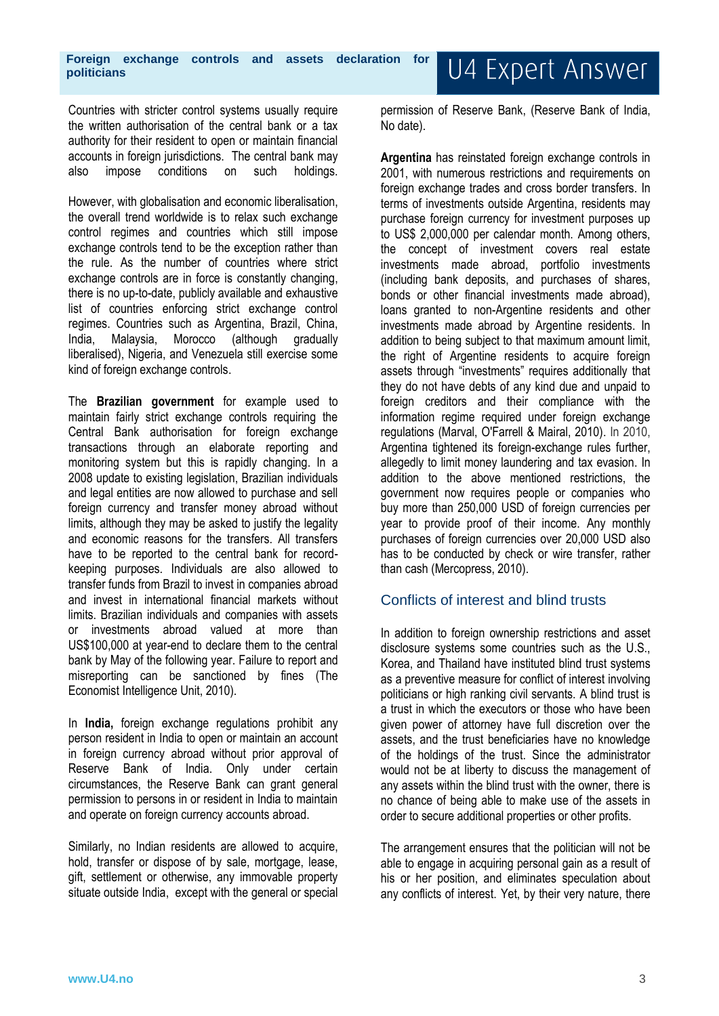Countries with stricter control systems usually require the written authorisation of the central bank or a tax authority for their resident to open or maintain financial accounts in foreign jurisdictions. The central bank may also impose conditions on such holdings.

However, with globalisation and economic liberalisation, the overall trend worldwide is to relax such exchange control regimes and countries which still impose exchange controls tend to be the exception rather than the rule. As the number of countries where strict exchange controls are in force is constantly changing, there is no up-to-date, publicly available and exhaustive list of countries enforcing strict exchange control regimes. Countries such as Argentina, Brazil, China, India, Malaysia, Morocco (although gradually liberalised), Nigeria, and Venezuela still exercise some kind of foreign exchange controls.

The **Brazilian government** for example used to maintain fairly strict exchange controls requiring the Central Bank authorisation for foreign exchange transactions through an elaborate reporting and monitoring system but this is rapidly changing. In a 2008 update to existing legislation, Brazilian individuals and legal entities are now allowed to purchase and sell foreign currency and transfer money abroad without limits, although they may be asked to justify the legality and economic reasons for the transfers. All transfers have to be reported to the central bank for recordkeeping purposes. Individuals are also allowed to transfer funds from Brazil to invest in companies abroad and invest in international financial markets without limits. Brazilian individuals and companies with assets or investments abroad valued at more than US\$100,000 at year-end to declare them to the central bank by May of the following year. Failure to report and misreporting can be sanctioned by fines (The Economist Intelligence Unit, 2010).

In **India,** foreign exchange regulations prohibit any person resident in India to open or maintain an account in foreign currency abroad without prior approval of Reserve Bank of India. Only under certain circumstances, the Reserve Bank can grant general permission to persons in or resident in India to maintain and operate on foreign currency accounts abroad.

Similarly, no Indian residents are allowed to acquire, hold, transfer or dispose of by sale, mortgage, lease, gift, settlement or otherwise, any immovable property situate outside India, except with the general or special permission of Reserve Bank, (Reserve Bank of India, No date).

**Argentina** has reinstated foreign exchange controls in 2001, with numerous restrictions and requirements on foreign exchange trades and cross border transfers. In terms of investments outside Argentina, residents may purchase foreign currency for investment purposes up to US\$ 2,000,000 per calendar month. Among others, the concept of investment covers real estate investments made abroad, portfolio investments (including bank deposits, and purchases of shares, bonds or other financial investments made abroad), loans granted to non-Argentine residents and other investments made abroad by Argentine residents. In addition to being subject to that maximum amount limit, the right of Argentine residents to acquire foreign assets through "investments" requires additionally that they do not have debts of any kind due and unpaid to foreign creditors and their compliance with the information regime required under foreign exchange regulations (Marval, O'Farrell & Mairal, 2010). In 2010, Argentina tightened its foreign-exchange rules further, allegedly to limit money laundering and tax evasion. In addition to the above mentioned restrictions, the government now requires people or companies who buy more than 250,000 USD of foreign currencies per year to provide proof of their income. Any monthly purchases of foreign currencies over 20,000 USD also has to be conducted by check or wire transfer, rather than cash (Mercopress, 2010).

#### Conflicts of interest and blind trusts

In addition to foreign ownership restrictions and asset disclosure systems some countries such as the U.S., Korea, and Thailand have instituted blind trust systems as a preventive measure for conflict of interest involving politicians or high ranking civil servants. A blind trust is a trust in which the executors or those who have been given power of attorney have full discretion over the assets, and the trust beneficiaries have no knowledge of the holdings of the trust. Since the administrator would not be at liberty to discuss the management of any assets within the blind trust with the owner, there is no chance of being able to make use of the assets in order to secure additional properties or other profits.

The arrangement ensures that the politician will not be able to engage in acquiring personal gain as a result of his or her position, and eliminates speculation about any conflicts of interest. Yet, by their very nature, there

# U4 Expert Answer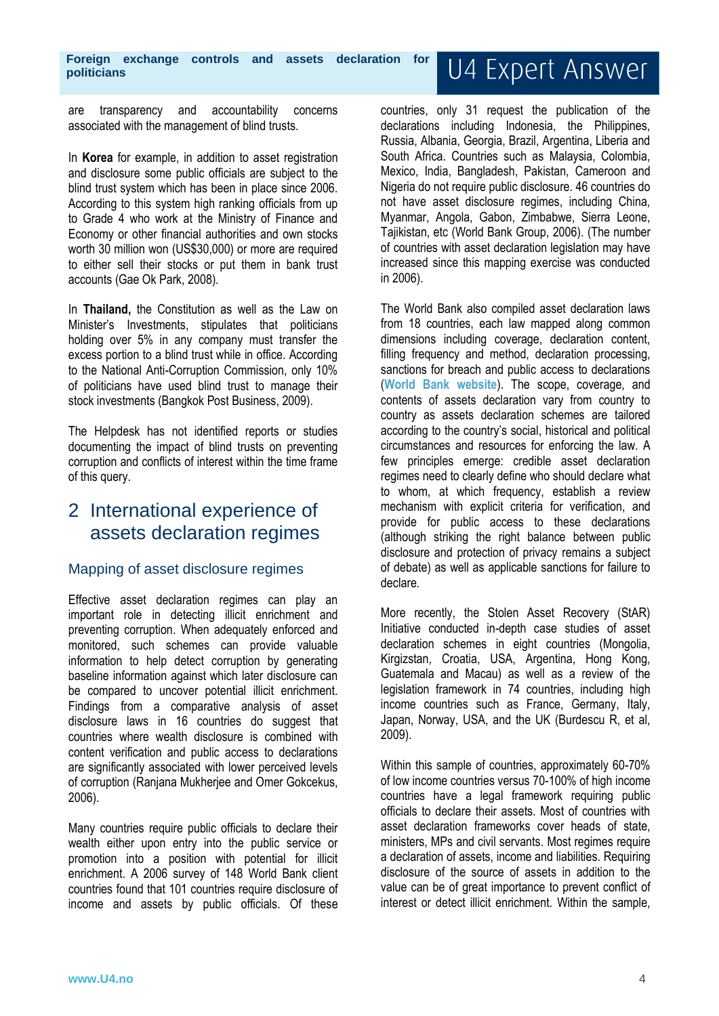are transparency and accountability concerns associated with the management of blind trusts.

In **Korea** for example, in addition to asset registration and disclosure some public officials are subject to the blind trust system which has been in place since 2006. According to this system high ranking officials from up to Grade 4 who work at the Ministry of Finance and Economy or other financial authorities and own stocks worth 30 million won (US\$30,000) or more are required to either sell their stocks or put them in bank trust accounts (Gae Ok Park, 2008).

In **Thailand,** the Constitution as well as the Law on Minister's Investments, stipulates that politicians holding over 5% in any company must transfer the excess portion to a blind trust while in office. According to the National Anti-Corruption Commission, only 10% of politicians have used blind trust to manage their stock investments (Bangkok Post Business, 2009).

The Helpdesk has not identified reports or studies documenting the impact of blind trusts on preventing corruption and conflicts of interest within the time frame of this query.

# 2 International experience of assets declaration regimes

#### Mapping of asset disclosure regimes

Effective asset declaration regimes can play an important role in detecting illicit enrichment and preventing corruption. When adequately enforced and monitored, such schemes can provide valuable information to help detect corruption by generating baseline information against which later disclosure can be compared to uncover potential illicit enrichment. Findings from a comparative analysis of asset disclosure laws in 16 countries do suggest that countries where wealth disclosure is combined with content verification and public access to declarations are significantly associated with lower perceived levels of corruption (Ranjana Mukherjee and Omer Gokcekus, 2006).

Many countries require public officials to declare their wealth either upon entry into the public service or promotion into a position with potential for illicit enrichment. A 2006 survey of 148 World Bank client countries found that 101 countries require disclosure of income and assets by public officials. Of these

# U4 Expert Answer

countries, only 31 request the publication of the declarations including Indonesia, the Philippines, Russia, Albania, Georgia, Brazil, Argentina, Liberia and South Africa. Countries such as Malaysia, Colombia, Mexico, India, Bangladesh, Pakistan, Cameroon and Nigeria do not require public disclosure. 46 countries do not have asset disclosure regimes, including China, Myanmar, Angola, Gabon, Zimbabwe, Sierra Leone, Tajikistan, etc (World Bank Group, 2006). (The number of countries with asset declaration legislation may have increased since this mapping exercise was conducted in 2006).

The World Bank also compiled asset declaration laws from 18 countries, each law mapped along common dimensions including coverage, declaration content, filling frequency and method, declaration processing, sanctions for breach and public access to declarations (**[World Bank website](http://web.worldbank.org/WBSITE/EXTERNAL/TOPICS/EXTPUBLICSECTORANDGOVERNANCE/EXTADMINISTRATIVEANDCIVILSERVICEREFORM/0,,contentMDK:20226579~menuPK:1829142~pagePK:148956~piPK:216618~theSitePK:286367,00.html)**). The scope, coverage, and contents of assets declaration vary from country to country as assets declaration schemes are tailored according to the country's social, historical and political circumstances and resources for enforcing the law. A few principles emerge: credible asset declaration regimes need to clearly define who should declare what to whom, at which frequency, establish a review mechanism with explicit criteria for verification, and provide for public access to these declarations (although striking the right balance between public disclosure and protection of privacy remains a subject of debate) as well as applicable sanctions for failure to declare.

More recently, the Stolen Asset Recovery (StAR) Initiative conducted in-depth case studies of asset declaration schemes in eight countries (Mongolia, Kirgizstan, Croatia, USA, Argentina, Hong Kong, Guatemala and Macau) as well as a review of the legislation framework in 74 countries, including high income countries such as France, Germany, Italy, Japan, Norway, USA, and the UK (Burdescu R, et al, 2009).

Within this sample of countries, approximately 60-70% of low income countries versus 70-100% of high income countries have a legal framework requiring public officials to declare their assets. Most of countries with asset declaration frameworks cover heads of state, ministers, MPs and civil servants. Most regimes require a declaration of assets, income and liabilities. Requiring disclosure of the source of assets in addition to the value can be of great importance to prevent conflict of interest or detect illicit enrichment. Within the sample,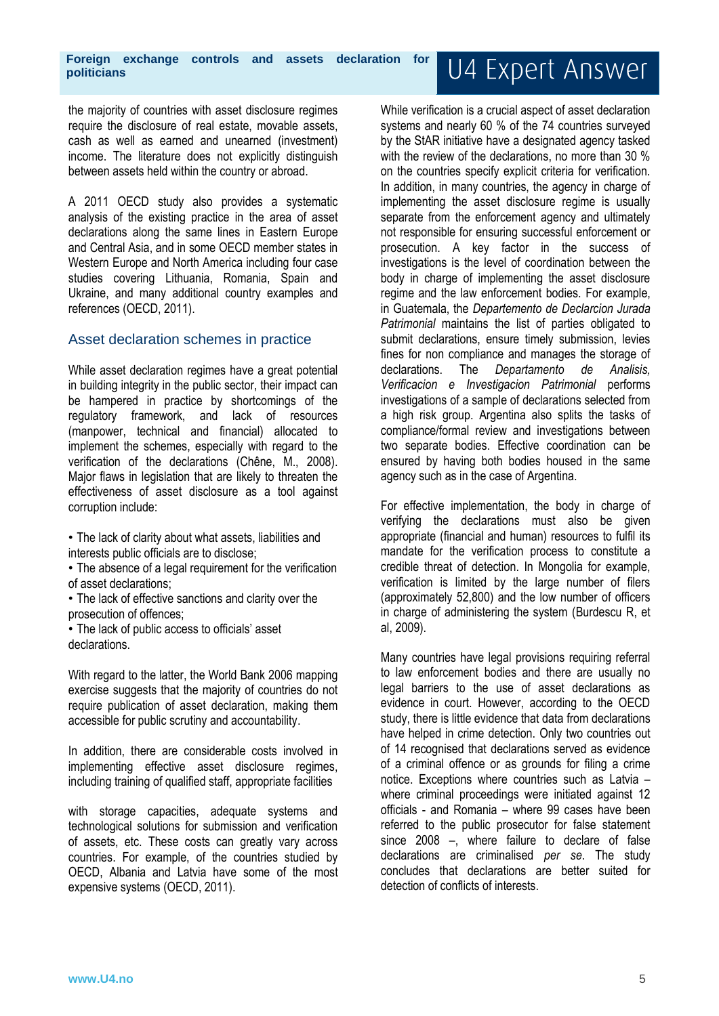the majority of countries with asset disclosure regimes require the disclosure of real estate, movable assets, cash as well as earned and unearned (investment) income. The literature does not explicitly distinguish between assets held within the country or abroad.

A 2011 OECD study also provides a systematic analysis of the existing practice in the area of asset declarations along the same lines in Eastern Europe and Central Asia, and in some OECD member states in Western Europe and North America including four case studies covering Lithuania, Romania, Spain and Ukraine, and many additional country examples and references (OECD, 2011).

#### Asset declaration schemes in practice

While asset declaration regimes have a great potential in building integrity in the public sector, their impact can be hampered in practice by shortcomings of the regulatory framework, and lack of resources (manpower, technical and financial) allocated to implement the schemes, especially with regard to the verification of the declarations (Chêne, M., 2008). Major flaws in legislation that are likely to threaten the effectiveness of asset disclosure as a tool against corruption include:

• The lack of clarity about what assets, liabilities and interests public officials are to disclose;

• The absence of a legal requirement for the verification of asset declarations;

• The lack of effective sanctions and clarity over the prosecution of offences;

• The lack of public access to officials' asset declarations.

With regard to the latter, the World Bank 2006 mapping exercise suggests that the majority of countries do not require publication of asset declaration, making them accessible for public scrutiny and accountability.

In addition, there are considerable costs involved in implementing effective asset disclosure regimes, including training of qualified staff, appropriate facilities

with storage capacities, adequate systems and technological solutions for submission and verification of assets, etc. These costs can greatly vary across countries. For example, of the countries studied by OECD, Albania and Latvia have some of the most expensive systems (OECD, 2011).

While verification is a crucial aspect of asset declaration systems and nearly 60 % of the 74 countries surveyed by the StAR initiative have a designated agency tasked with the review of the declarations, no more than 30 % on the countries specify explicit criteria for verification. In addition, in many countries, the agency in charge of implementing the asset disclosure regime is usually separate from the enforcement agency and ultimately not responsible for ensuring successful enforcement or prosecution. A key factor in the success of investigations is the level of coordination between the body in charge of implementing the asset disclosure regime and the law enforcement bodies. For example, in Guatemala, the *Departemento de Declarcion Jurada Patrimonial* maintains the list of parties obligated to submit declarations, ensure timely submission, levies fines for non compliance and manages the storage of declarations. The *Departamento de Analisis, Verificacion e Investigacion Patrimonial* performs investigations of a sample of declarations selected from a high risk group. Argentina also splits the tasks of compliance/formal review and investigations between two separate bodies. Effective coordination can be ensured by having both bodies housed in the same agency such as in the case of Argentina.

For effective implementation, the body in charge of verifying the declarations must also be given appropriate (financial and human) resources to fulfil its mandate for the verification process to constitute a credible threat of detection. In Mongolia for example, verification is limited by the large number of filers (approximately 52,800) and the low number of officers in charge of administering the system (Burdescu R, et al, 2009).

Many countries have legal provisions requiring referral to law enforcement bodies and there are usually no legal barriers to the use of asset declarations as evidence in court. However, according to the OECD study, there is little evidence that data from declarations have helped in crime detection. Only two countries out of 14 recognised that declarations served as evidence of a criminal offence or as grounds for filing a crime notice. Exceptions where countries such as Latvia – where criminal proceedings were initiated against 12 officials - and Romania – where 99 cases have been referred to the public prosecutor for false statement since 2008 –, where failure to declare of false declarations are criminalised *per se*. The study concludes that declarations are better suited for detection of conflicts of interests.

# U4 Expert Answer